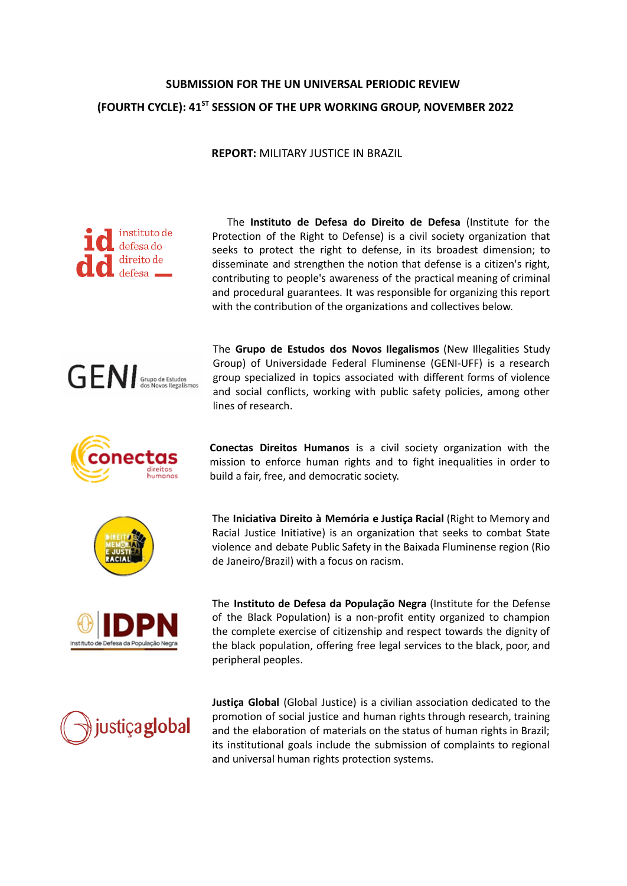# **SUBMISSION FOR THE UN UNIVERSAL PERIODIC REVIEW (FOURTH CYCLE): 41ST SESSION OF THE UPR WORKING GROUP, NOVEMBER 2022**

**REPORT:** MILITARY JUSTICE IN BRAZIL



The **Instituto de Defesa do Direito de Defesa** (Institute for the Protection of the Right to Defense) is a civil society organization that seeks to protect the right to defense, in its broadest dimension; to disseminate and strengthen the notion that defense is a citizen's right, contributing to people's awareness of the practical meaning of criminal and procedural guarantees. It was responsible for organizing this report with the contribution of the organizations and collectives below.











and social conflicts, working with public safety policies, among other lines of research.

The **Grupo de Estudos dos Novos Ilegalismos** (New Illegalities Study Group) of Universidade Federal Fluminense (GENI-UFF) is a research group specialized in topics associated with different forms of violence

**Conectas Direitos Humanos** is a civil society organization with the mission to enforce human rights and to fight inequalities in order to build a fair, free, and democratic society.

The **Iniciativa Direito à Memória e Justiça Racial** (Right to Memory and Racial Justice Initiative) is an organization that seeks to combat State violence and debate Public Safety in the Baixada Fluminense region (Rio de Janeiro/Brazil) with a focus on racism.

The **Instituto de Defesa da População Negra** (Institute for the Defense of the Black Population) is a non-profit entity organized to champion the complete exercise of citizenship and respect towards the dignity of the black population, offering free legal services to the black, poor, and peripheral peoples.

**Justiça Global** (Global Justice) is a civilian association dedicated to the promotion of social justice and human rights through research, training and the elaboration of materials on the status of human rights in Brazil; its institutional goals include the submission of complaints to regional and universal human rights protection systems.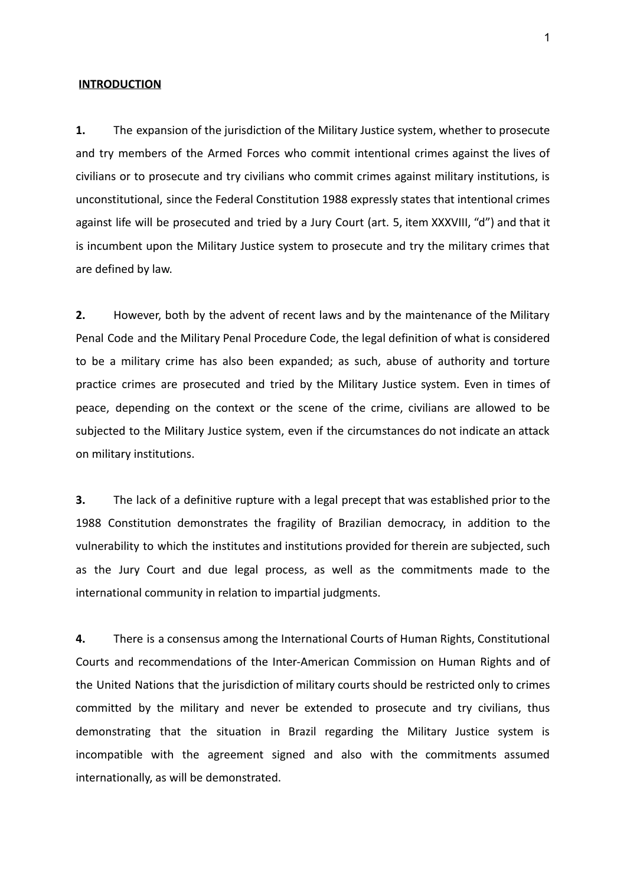#### **INTRODUCTION**

**1.** The expansion of the jurisdiction of the Military Justice system, whether to prosecute and try members of the Armed Forces who commit intentional crimes against the lives of civilians or to prosecute and try civilians who commit crimes against military institutions, is unconstitutional, since the Federal Constitution 1988 expressly states that intentional crimes against life will be prosecuted and tried by a Jury Court (art. 5, item XXXVIII, "d") and that it is incumbent upon the Military Justice system to prosecute and try the military crimes that are defined by law.

**2.** However, both by the advent of recent laws and by the maintenance of the Military Penal Code and the Military Penal Procedure Code, the legal definition of what is considered to be a military crime has also been expanded; as such, abuse of authority and torture practice crimes are prosecuted and tried by the Military Justice system. Even in times of peace, depending on the context or the scene of the crime, civilians are allowed to be subjected to the Military Justice system, even if the circumstances do not indicate an attack on military institutions.

**3.** The lack of a definitive rupture with a legal precept that was established prior to the 1988 Constitution demonstrates the fragility of Brazilian democracy, in addition to the vulnerability to which the institutes and institutions provided for therein are subjected, such as the Jury Court and due legal process, as well as the commitments made to the international community in relation to impartial judgments.

**4.** There is a consensus among the International Courts of Human Rights, Constitutional Courts and recommendations of the Inter-American Commission on Human Rights and of the United Nations that the jurisdiction of military courts should be restricted only to crimes committed by the military and never be extended to prosecute and try civilians, thus demonstrating that the situation in Brazil regarding the Military Justice system is incompatible with the agreement signed and also with the commitments assumed internationally, as will be demonstrated.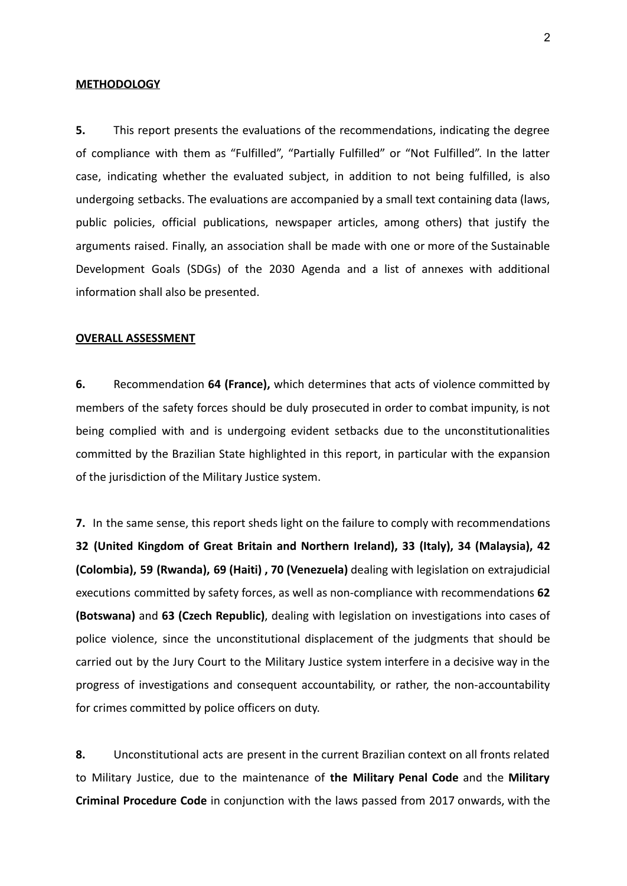### **METHODOLOGY**

**5.** This report presents the evaluations of the recommendations, indicating the degree of compliance with them as "Fulfilled", "Partially Fulfilled" or "Not Fulfilled". In the latter case, indicating whether the evaluated subject, in addition to not being fulfilled, is also undergoing setbacks. The evaluations are accompanied by a small text containing data (laws, public policies, official publications, newspaper articles, among others) that justify the arguments raised. Finally, an association shall be made with one or more of the Sustainable Development Goals (SDGs) of the 2030 Agenda and a list of annexes with additional information shall also be presented.

#### **OVERALL ASSESSMENT**

**6.** Recommendation **64 (France),** which determines that acts of violence committed by members of the safety forces should be duly prosecuted in order to combat impunity, is not being complied with and is undergoing evident setbacks due to the unconstitutionalities committed by the Brazilian State highlighted in this report, in particular with the expansion of the jurisdiction of the Military Justice system.

**7.** In the same sense, this report sheds light on the failure to comply with recommendations **32 (United Kingdom of Great Britain and Northern Ireland), 33 (Italy), 34 (Malaysia), 42 (Colombia), 59 (Rwanda), 69 (Haiti) , 70 (Venezuela)** dealing with legislation on extrajudicial executions committed by safety forces, as well as non-compliance with recommendations **62 (Botswana)** and **63 (Czech Republic)**, dealing with legislation on investigations into cases of police violence, since the unconstitutional displacement of the judgments that should be carried out by the Jury Court to the Military Justice system interfere in a decisive way in the progress of investigations and consequent accountability, or rather, the non-accountability for crimes committed by police officers on duty.

**8.** Unconstitutional acts are present in the current Brazilian context on all fronts related to Military Justice, due to the maintenance of **the Military Penal Code** and the **Military Criminal Procedure Code** in conjunction with the laws passed from 2017 onwards, with the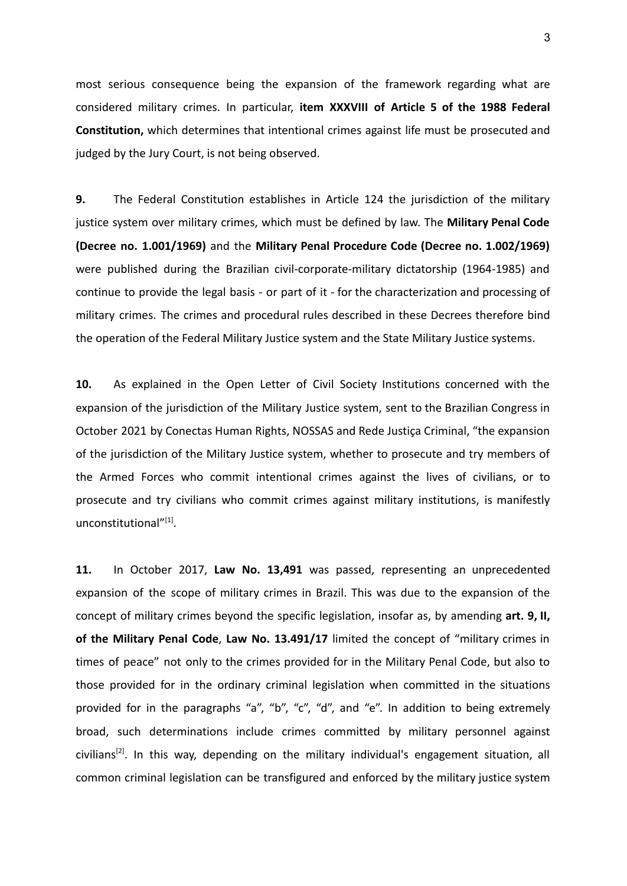most serious consequence being the expansion of the framework regarding what are considered military crimes. In particular, **item XXXVIII of Article 5 of the 1988 Federal Constitution,** which determines that intentional crimes against life must be prosecuted and judged by the Jury Court, is not being observed.

**9.** The Federal Constitution establishes in Article 124 the jurisdiction of the military justice system over military crimes, which must be defined by law. The **Military Penal Code (Decree no. 1.001/1969)** and the **Military Penal Procedure Code (Decree no. 1.002/1969)** were published during the Brazilian civil-corporate-military dictatorship (1964-1985) and continue to provide the legal basis - or part of it - for the characterization and processing of military crimes. The crimes and procedural rules described in these Decrees therefore bind the operation of the Federal Military Justice system and the State Military Justice systems.

**10.** As explained in the Open Letter of Civil Society Institutions concerned with the expansion of the jurisdiction of the Military Justice system, sent to the Brazilian Congress in October 2021 by Conectas Human Rights, NOSSAS and Rede Justiça Criminal, "the expansion of the jurisdiction of the Military Justice system, whether to prosecute and try members of the Armed Forces who commit intentional crimes against the lives of civilians, or to prosecute and try civilians who commit crimes against military institutions, is manifestly unconstitutional"<sup>[1]</sup>.

**11.** In October 2017, **Law No. 13,491** was passed, representing an unprecedented expansion of the scope of military crimes in Brazil. This was due to the expansion of the concept of military crimes beyond the specific legislation, insofar as, by amending **art. 9, II, of the Military Penal Code**, **Law No. 13.491/17** limited the concept of "military crimes in times of peace" not only to the crimes provided for in the Military Penal Code, but also to those provided for in the ordinary criminal legislation when committed in the situations provided for in the paragraphs "a", "b", "c", "d", and "e". In addition to being extremely broad, such determinations include crimes committed by military personnel against civilians<sup>[2]</sup>. In this way, depending on the military individual's engagement situation, all common criminal legislation can be transfigured and enforced by the military justice system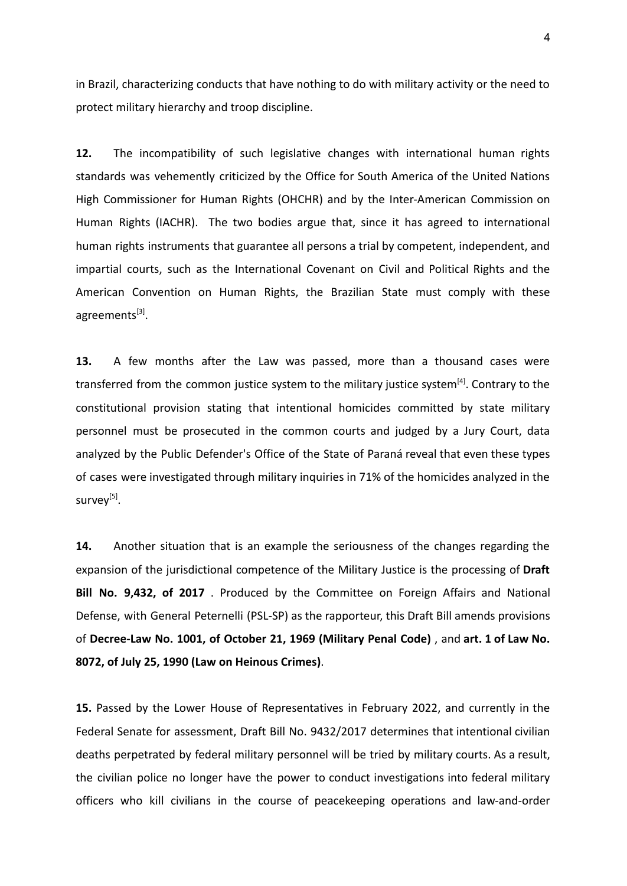in Brazil, characterizing conducts that have nothing to do with military activity or the need to protect military hierarchy and troop discipline.

**12.** The incompatibility of such legislative changes with international human rights standards was vehemently criticized by the Office for South America of the United Nations High Commissioner for Human Rights (OHCHR) and by the Inter-American Commission on Human Rights (IACHR). The two bodies argue that, since it has agreed to international human rights instruments that guarantee all persons a trial by competent, independent, and impartial courts, such as the International Covenant on Civil and Political Rights and the American Convention on Human Rights, the Brazilian State must comply with these agreements<sup>[3]</sup>.

**13.** A few months after the Law was passed, more than a thousand cases were transferred from the common justice system to the military justice system<sup>[4]</sup>. Contrary to the constitutional provision stating that intentional homicides committed by state military personnel must be prosecuted in the common courts and judged by a Jury Court, data analyzed by the Public Defender's Office of the State of Paraná reveal that even these types of cases were investigated through military inquiries in 71% of the homicides analyzed in the survey<sup>[5]</sup>.

**14.** Another situation that is an example the seriousness of the changes regarding the expansion of the jurisdictional competence of the Military Justice is the processing of **Draft Bill No. 9,432, of 2017** . Produced by the Committee on Foreign Affairs and National Defense, with General Peternelli (PSL-SP) as the rapporteur, this Draft Bill amends provisions of **Decree-Law No. 1001, of October 21, 1969 (Military Penal Code)** , and **art. 1 of Law No. 8072, of July 25, 1990 (Law on Heinous Crimes)**.

**15.** Passed by the Lower House of Representatives in February 2022, and currently in the Federal Senate for assessment, Draft Bill No. 9432/2017 determines that intentional civilian deaths perpetrated by federal military personnel will be tried by military courts. As a result, the civilian police no longer have the power to conduct investigations into federal military officers who kill civilians in the course of peacekeeping operations and law-and-order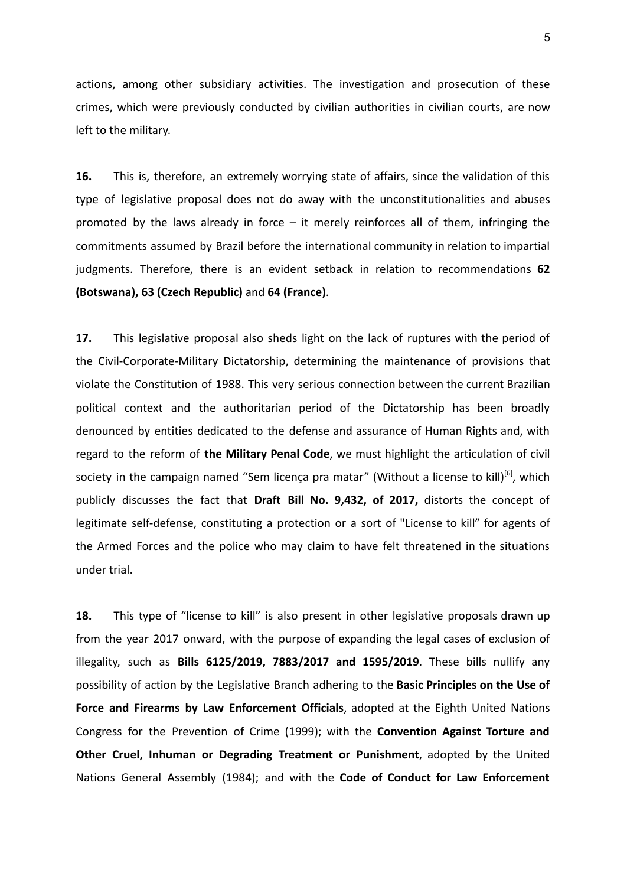actions, among other subsidiary activities. The investigation and prosecution of these crimes, which were previously conducted by civilian authorities in civilian courts, are now left to the military.

**16.** This is, therefore, an extremely worrying state of affairs, since the validation of this type of legislative proposal does not do away with the unconstitutionalities and abuses promoted by the laws already in force – it merely reinforces all of them, infringing the commitments assumed by Brazil before the international community in relation to impartial judgments. Therefore, there is an evident setback in relation to recommendations **62 (Botswana), 63 (Czech Republic)** and **64 (France)**.

**17.** This legislative proposal also sheds light on the lack of ruptures with the period of the Civil-Corporate-Military Dictatorship, determining the maintenance of provisions that violate the Constitution of 1988. This very serious connection between the current Brazilian political context and the authoritarian period of the Dictatorship has been broadly denounced by entities dedicated to the defense and assurance of Human Rights and, with regard to the reform of **the Military Penal Code**, we must highlight the articulation of civil society in the campaign named "Sem licença pra matar" (Without a license to kill)<sup>[6]</sup>, which publicly discusses the fact that **Draft Bill No. 9,432, of 2017,** distorts the concept of legitimate self-defense, constituting a protection or a sort of "License to kill" for agents of the Armed Forces and the police who may claim to have felt threatened in the situations under trial.

**18.** This type of "license to kill" is also present in other legislative proposals drawn up from the year 2017 onward, with the purpose of expanding the legal cases of exclusion of illegality, such as **Bills 6125/2019, 7883/2017 and 1595/2019**. These bills nullify any possibility of action by the Legislative Branch adhering to the **Basic Principles on the Use of Force and Firearms by Law Enforcement Officials**, adopted at the Eighth United Nations Congress for the Prevention of Crime (1999); with the **Convention Against Torture and Other Cruel, Inhuman or Degrading Treatment or Punishment**, adopted by the United Nations General Assembly (1984); and with the **Code of Conduct for Law Enforcement**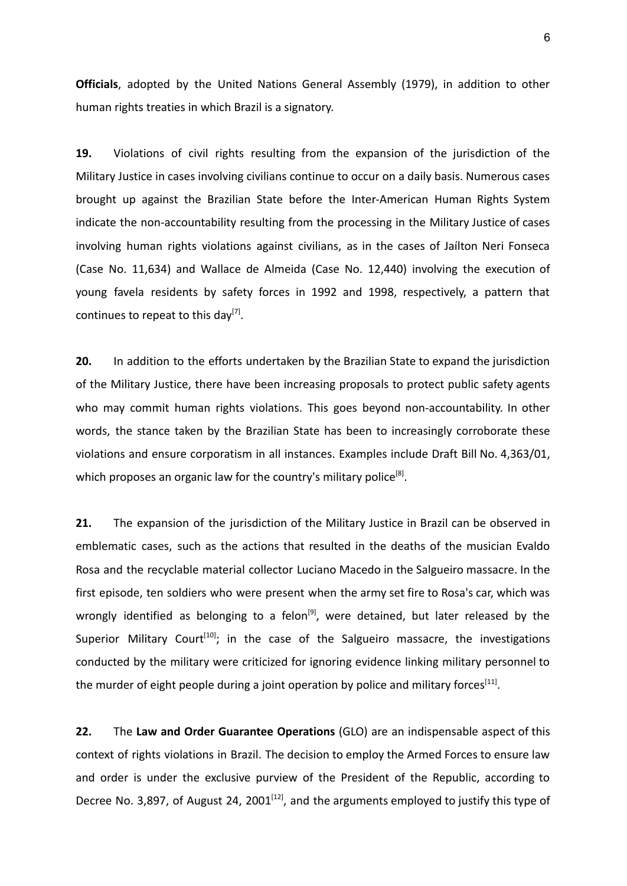**Officials**, adopted by the United Nations General Assembly (1979), in addition to other human rights treaties in which Brazil is a signatory.

**19.** Violations of civil rights resulting from the expansion of the jurisdiction of the Military Justice in cases involving civilians continue to occur on a daily basis. Numerous cases brought up against the Brazilian State before the Inter-American Human Rights System indicate the non-accountability resulting from the processing in the Military Justice of cases involving human rights violations against civilians, as in the cases of Jaílton Neri Fonseca (Case No. 11,634) and Wallace de Almeida (Case No. 12,440) involving the execution of young favela residents by safety forces in 1992 and 1998, respectively, a pattern that continues to repeat to this day<sup>[7]</sup>.

**20.** In addition to the efforts undertaken by the Brazilian State to expand the jurisdiction of the Military Justice, there have been increasing proposals to protect public safety agents who may commit human rights violations. This goes beyond non-accountability. In other words, the stance taken by the Brazilian State has been to increasingly corroborate these violations and ensure corporatism in all instances. Examples include Draft Bill No. 4,363/01, which proposes an organic law for the country's military police<sup>[8]</sup>.

**21.** The expansion of the jurisdiction of the Military Justice in Brazil can be observed in emblematic cases, such as the actions that resulted in the deaths of the musician Evaldo Rosa and the recyclable material collector Luciano Macedo in the Salgueiro massacre. In the first episode, ten soldiers who were present when the army set fire to Rosa's car, which was wrongly identified as belonging to a felon<sup>[9]</sup>, were detained, but later released by the Superior Military Court<sup>[10]</sup>; in the case of the Salgueiro massacre, the investigations conducted by the military were criticized for ignoring evidence linking military personnel to the murder of eight people during a joint operation by police and military forces<sup>[11]</sup>.

**22.** The **Law and Order Guarantee Operations** (GLO) are an indispensable aspect of this context of rights violations in Brazil. The decision to employ the Armed Forces to ensure law and order is under the exclusive purview of the President of the Republic, according to Decree No. 3,897, of August 24, 2001 $^{[12]}$ , and the arguments employed to justify this type of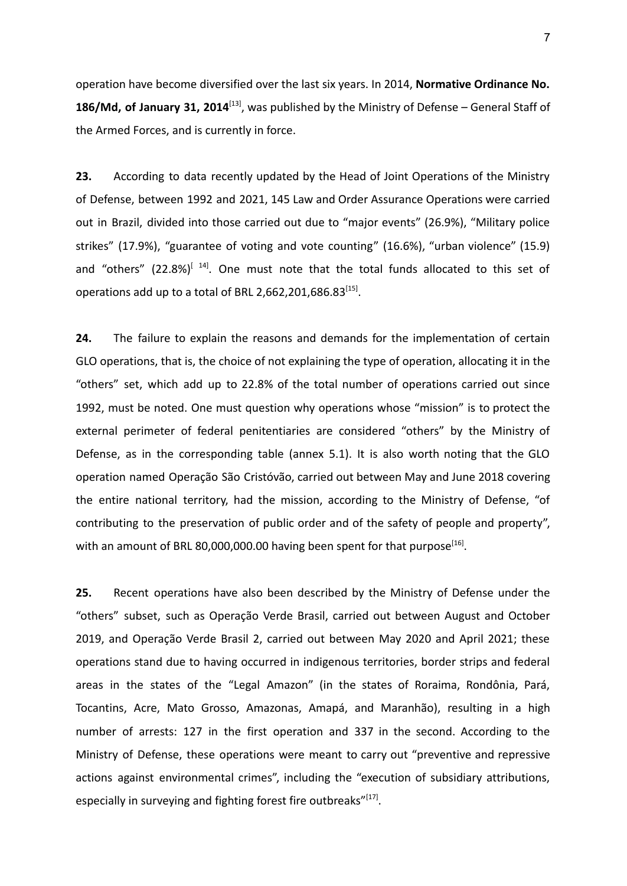operation have become diversified over the last six years. In 2014, **Normative Ordinance No. 186/Md, of January 31, 2014**[13] , was published by the Ministry of Defense – General Staff of the Armed Forces, and is currently in force.

**23.** According to data recently updated by the Head of Joint Operations of the Ministry of Defense, between 1992 and 2021, 145 Law and Order Assurance Operations were carried out in Brazil, divided into those carried out due to "major events" (26.9%), "Military police strikes" (17.9%), "guarantee of voting and vote counting" (16.6%), "urban violence" (15.9) and "others" (22.8%)<sup>[14]</sup>. One must note that the total funds allocated to this set of operations add up to a total of BRL 2,662,201,686.83 $^{[15]}$ .

**24.** The failure to explain the reasons and demands for the implementation of certain GLO operations, that is, the choice of not explaining the type of operation, allocating it in the "others" set, which add up to 22.8% of the total number of operations carried out since 1992, must be noted. One must question why operations whose "mission" is to protect the external perimeter of federal penitentiaries are considered "others" by the Ministry of Defense, as in the corresponding table (annex 5.1). It is also worth noting that the GLO operation named Operação São Cristóvão, carried out between May and June 2018 covering the entire national territory, had the mission, according to the Ministry of Defense, "of contributing to the preservation of public order and of the safety of people and property", with an amount of BRL 80,000,000.00 having been spent for that purpose $^{[16]}$ .

**25.** Recent operations have also been described by the Ministry of Defense under the "others" subset, such as Operação Verde Brasil, carried out between August and October 2019, and Operação Verde Brasil 2, carried out between May 2020 and April 2021; these operations stand due to having occurred in indigenous territories, border strips and federal areas in the states of the "Legal Amazon" (in the states of Roraima, Rondônia, Pará, Tocantins, Acre, Mato Grosso, Amazonas, Amapá, and Maranhão), resulting in a high number of arrests: 127 in the first operation and 337 in the second. According to the Ministry of Defense, these operations were meant to carry out "preventive and repressive actions against environmental crimes", including the "execution of subsidiary attributions, especially in surveying and fighting forest fire outbreaks"<sup>[17]</sup>.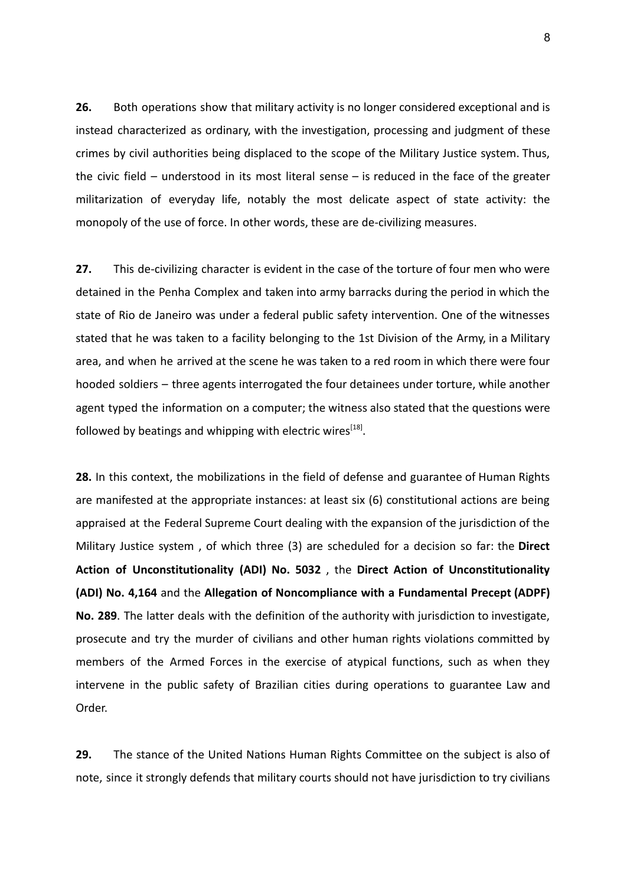**26.** Both operations show that military activity is no longer considered exceptional and is instead characterized as ordinary, with the investigation, processing and judgment of these crimes by civil authorities being displaced to the scope of the Military Justice system. Thus, the civic field – understood in its most literal sense – is reduced in the face of the greater militarization of everyday life, notably the most delicate aspect of state activity: the monopoly of the use of force. In other words, these are de-civilizing measures.

**27.** This de-civilizing character is evident in the case of the torture of four men who were detained in the Penha Complex and taken into army barracks during the period in which the state of Rio de Janeiro was under a federal public safety intervention. One of the witnesses stated that he was taken to a facility belonging to the 1st Division of the Army, in a Military area, and when he arrived at the scene he was taken to a red room in which there were four hooded soldiers – three agents interrogated the four detainees under torture, while another agent typed the information on a computer; the witness also stated that the questions were followed by beatings and whipping with electric wires<sup>[18]</sup>.

**28.** In this context, the mobilizations in the field of defense and guarantee of Human Rights are manifested at the appropriate instances: at least six (6) constitutional actions are being appraised at the Federal Supreme Court dealing with the expansion of the jurisdiction of the Military Justice system , of which three (3) are scheduled for a decision so far: the **Direct Action of Unconstitutionality (ADI) No. 5032** , the **Direct Action of Unconstitutionality (ADI) No. 4,164** and the **Allegation of Noncompliance with a Fundamental Precept (ADPF) No. 289**. The latter deals with the definition of the authority with jurisdiction to investigate, prosecute and try the murder of civilians and other human rights violations committed by members of the Armed Forces in the exercise of atypical functions, such as when they intervene in the public safety of Brazilian cities during operations to guarantee Law and Order.

**29.** The stance of the United Nations Human Rights Committee on the subject is also of note, since it strongly defends that military courts should not have jurisdiction to try civilians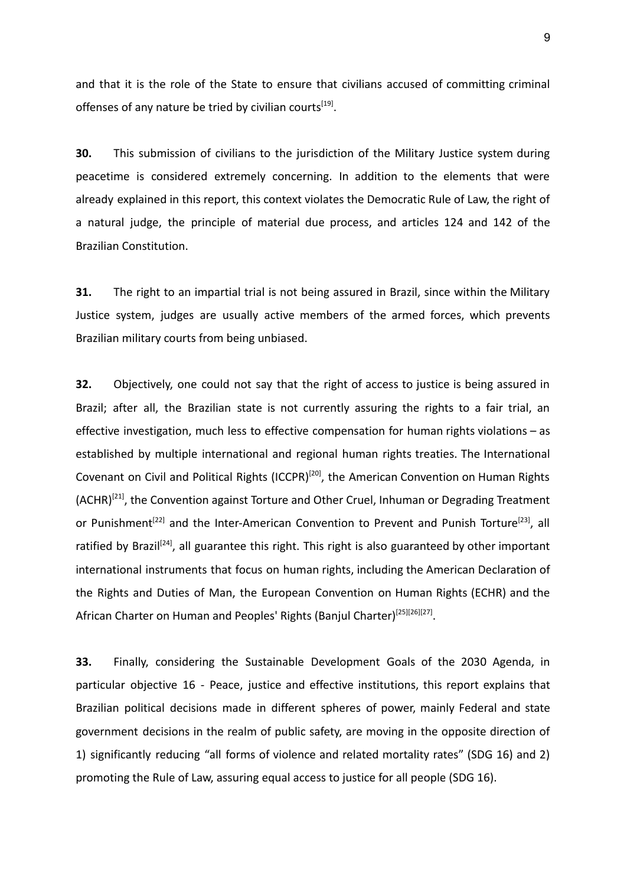and that it is the role of the State to ensure that civilians accused of committing criminal offenses of any nature be tried by civilian courts<sup>[19]</sup>.

**30.** This submission of civilians to the jurisdiction of the Military Justice system during peacetime is considered extremely concerning. In addition to the elements that were already explained in this report, this context violates the Democratic Rule of Law, the right of a natural judge, the principle of material due process, and articles 124 and 142 of the Brazilian Constitution.

**31.** The right to an impartial trial is not being assured in Brazil, since within the Military Justice system, judges are usually active members of the armed forces, which prevents Brazilian military courts from being unbiased.

**32.** Objectively, one could not say that the right of access to justice is being assured in Brazil; after all, the Brazilian state is not currently assuring the rights to a fair trial, an effective investigation, much less to effective compensation for human rights violations – as established by multiple international and regional human rights treaties. The International Covenant on Civil and Political Rights (ICCPR)<sup>[20]</sup>, the American Convention on Human Rights (ACHR)<sup>[21]</sup>, the Convention against Torture and Other Cruel, Inhuman or Degrading Treatment or Punishment<sup>[22]</sup> and the Inter-American Convention to Prevent and Punish Torture<sup>[23]</sup>, all ratified by Brazil<sup>[24]</sup>, all guarantee this right. This right is also guaranteed by other important international instruments that focus on human rights, including the American Declaration of the Rights and Duties of Man, the European Convention on Human Rights (ECHR) and the African Charter on Human and Peoples' Rights (Banjul Charter)<sup>[25][26][27]</sup>.

**33.** Finally, considering the Sustainable Development Goals of the 2030 Agenda, in particular objective 16 - Peace, justice and effective institutions, this report explains that Brazilian political decisions made in different spheres of power, mainly Federal and state government decisions in the realm of public safety, are moving in the opposite direction of 1) significantly reducing "all forms of violence and related mortality rates" (SDG 16) and 2) promoting the Rule of Law, assuring equal access to justice for all people (SDG 16).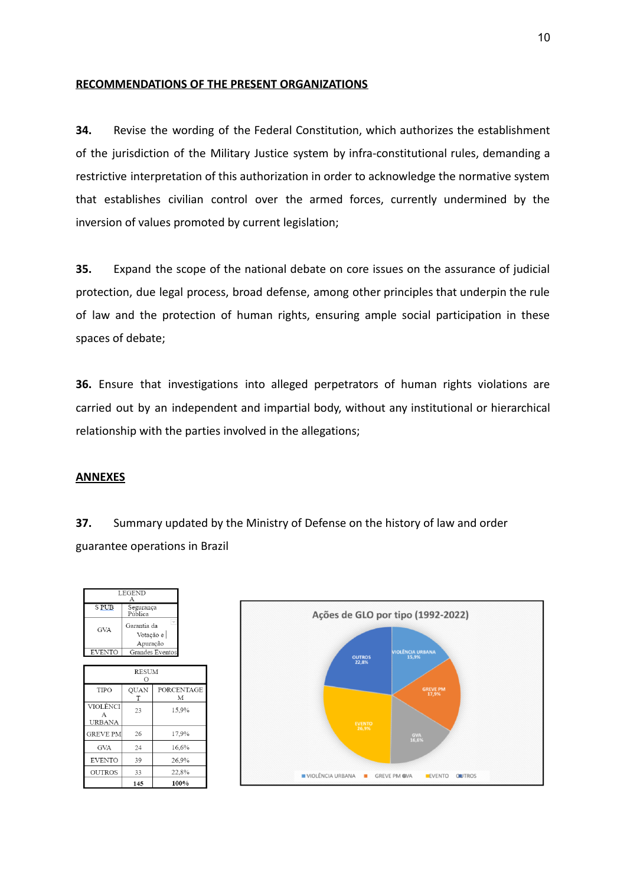## **RECOMMENDATIONS OF THE PRESENT ORGANIZATIONS**

**34.** Revise the wording of the Federal Constitution, which authorizes the establishment of the jurisdiction of the Military Justice system by infra-constitutional rules, demanding a restrictive interpretation of this authorization in order to acknowledge the normative system that establishes civilian control over the armed forces, currently undermined by the inversion of values promoted by current legislation;

**35.** Expand the scope of the national debate on core issues on the assurance of judicial protection, due legal process, broad defense, among other principles that underpin the rule of law and the protection of human rights, ensuring ample social participation in these spaces of debate;

**36.** Ensure that investigations into alleged perpetrators of human rights violations are carried out by an independent and impartial body, without any institutional or hierarchical relationship with the parties involved in the allegations;

## **ANNEXES**

**37.** Summary updated by the Ministry of Defense on the history of law and order guarantee operations in Brazil

| <b>LEGEND</b>           |                                        |                 |  |  |  |  |  |
|-------------------------|----------------------------------------|-----------------|--|--|--|--|--|
| <b>SPUB</b>             | Segurança<br>Pública                   |                 |  |  |  |  |  |
| GVA                     | Garantia da<br>Votação e  <br>Apuração |                 |  |  |  |  |  |
| <b>EVENTO</b>           |                                        | Grandes Eventos |  |  |  |  |  |
|                         |                                        |                 |  |  |  |  |  |
| <b>RESUM</b><br>Ω       |                                        |                 |  |  |  |  |  |
| TIPO                    | <b>OUAN</b><br>T                       | PORCENTAGE<br>М |  |  |  |  |  |
| VIOLÊNCI<br>A<br>URBANA | 23                                     | 15.9%           |  |  |  |  |  |
| <b>GREVE PM</b>         | 26                                     | 17.9%           |  |  |  |  |  |
| <b>GVA</b>              | 24                                     | 16,6%           |  |  |  |  |  |
| <b>EVENTO</b>           | 39                                     | 26.9%           |  |  |  |  |  |
| <b>OUTROS</b>           | 33                                     | 22,8%           |  |  |  |  |  |
|                         | 145                                    | 100%            |  |  |  |  |  |

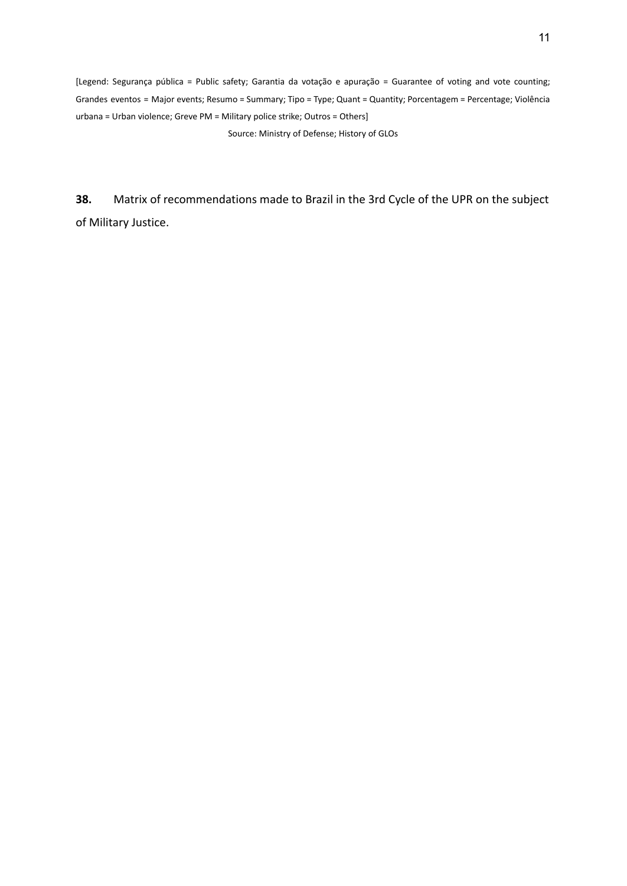[Legend: Segurança pública = Public safety; Garantia da votação e apuração = Guarantee of voting and vote counting; Grandes eventos = Major events; Resumo = Summary; Tipo = Type; Quant = Quantity; Porcentagem = Percentage; Violência urbana = Urban violence; Greve PM = Military police strike; Outros = Others]

Source: Ministry of Defense; History of GLOs

**38.** Matrix of recommendations made to Brazil in the 3rd Cycle of the UPR on the subject of Military Justice.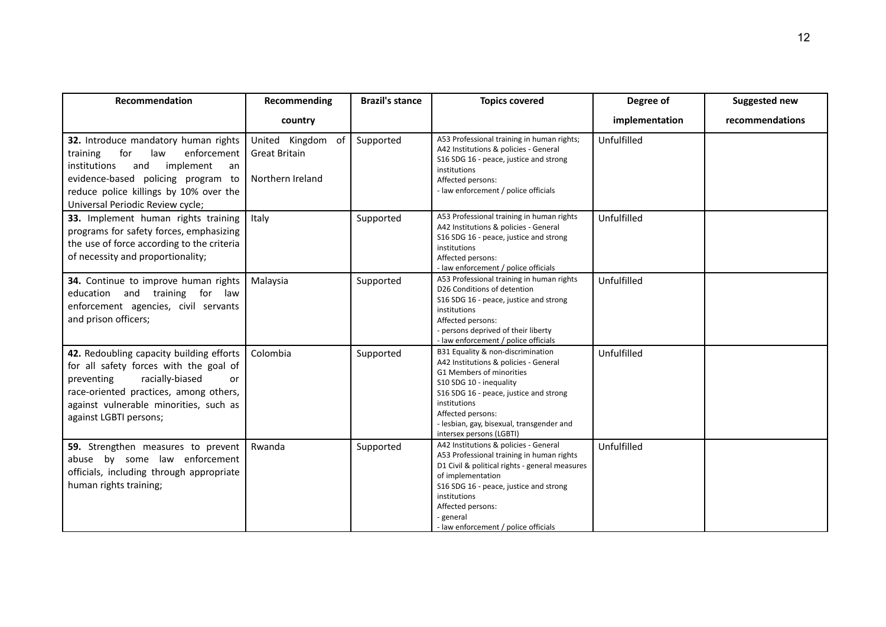| Recommendation                                                                                                                                                                                                                              | Recommending                                                     | <b>Brazil's stance</b> | <b>Topics covered</b>                                                                                                                                                                                                                                                                         | Degree of      | Suggested new   |
|---------------------------------------------------------------------------------------------------------------------------------------------------------------------------------------------------------------------------------------------|------------------------------------------------------------------|------------------------|-----------------------------------------------------------------------------------------------------------------------------------------------------------------------------------------------------------------------------------------------------------------------------------------------|----------------|-----------------|
|                                                                                                                                                                                                                                             | country                                                          |                        |                                                                                                                                                                                                                                                                                               | implementation | recommendations |
| 32. Introduce mandatory human rights<br>enforcement<br>for<br>training<br>law<br>institutions<br>implement<br>and<br>an<br>evidence-based policing program to<br>reduce police killings by 10% over the<br>Universal Periodic Review cycle; | United Kingdom<br>of<br><b>Great Britain</b><br>Northern Ireland | Supported              | A53 Professional training in human rights;<br>A42 Institutions & policies - General<br>S16 SDG 16 - peace, justice and strong<br>institutions<br>Affected persons:<br>- law enforcement / police officials                                                                                    | Unfulfilled    |                 |
| 33. Implement human rights training<br>programs for safety forces, emphasizing<br>the use of force according to the criteria<br>of necessity and proportionality;                                                                           | Italy                                                            | Supported              | A53 Professional training in human rights<br>A42 Institutions & policies - General<br>S16 SDG 16 - peace, justice and strong<br>institutions<br>Affected persons:<br>- law enforcement / police officials                                                                                     | Unfulfilled    |                 |
| 34. Continue to improve human rights<br>education and training for law<br>enforcement agencies, civil servants<br>and prison officers;                                                                                                      | Malaysia                                                         | Supported              | A53 Professional training in human rights<br>D26 Conditions of detention<br>S16 SDG 16 - peace, justice and strong<br>institutions<br>Affected persons:<br>- persons deprived of their liberty<br>- law enforcement / police officials                                                        | Unfulfilled    |                 |
| 42. Redoubling capacity building efforts<br>for all safety forces with the goal of<br>racially-biased<br>preventing<br>or<br>race-oriented practices, among others,<br>against vulnerable minorities, such as<br>against LGBTI persons;     | Colombia                                                         | Supported              | B31 Equality & non-discrimination<br>A42 Institutions & policies - General<br>G1 Members of minorities<br>S10 SDG 10 - inequality<br>S16 SDG 16 - peace, justice and strong<br>institutions<br>Affected persons:<br>- lesbian, gay, bisexual, transgender and<br>intersex persons (LGBTI)     | Unfulfilled    |                 |
| 59. Strengthen measures to prevent<br>abuse by some law enforcement<br>officials, including through appropriate<br>human rights training;                                                                                                   | Rwanda                                                           | Supported              | A42 Institutions & policies - General<br>A53 Professional training in human rights<br>D1 Civil & political rights - general measures<br>of implementation<br>S16 SDG 16 - peace, justice and strong<br>institutions<br>Affected persons:<br>- general<br>- law enforcement / police officials | Unfulfilled    |                 |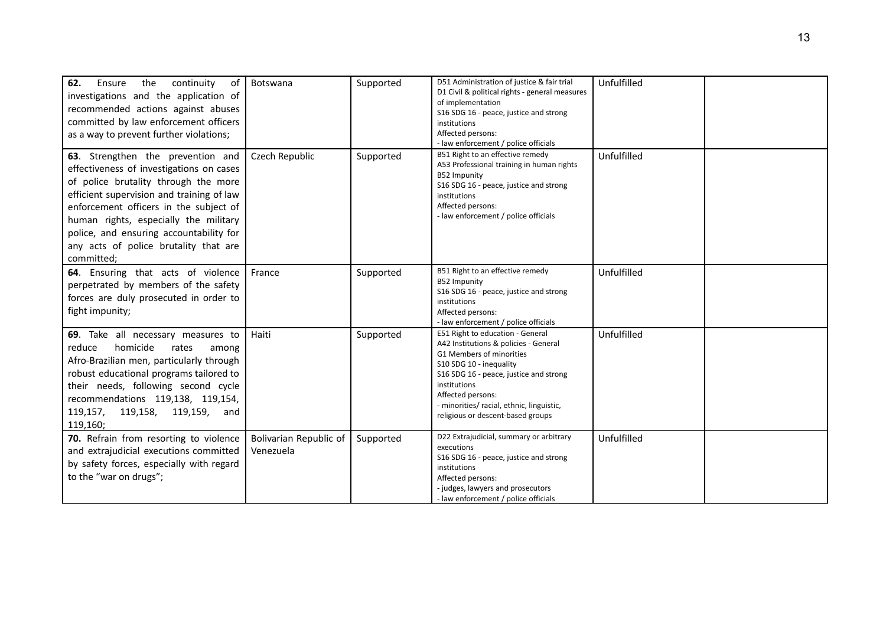| 62.<br>continuity<br>Ensure<br>the<br>of<br>investigations and the application of<br>recommended actions against abuses<br>committed by law enforcement officers<br>as a way to prevent further violations;                                                                                                                                             | Botswana                            | Supported | D51 Administration of justice & fair trial<br>D1 Civil & political rights - general measures<br>of implementation<br>S16 SDG 16 - peace, justice and strong<br>institutions<br>Affected persons:<br>- law enforcement / police officials                                                          | Unfulfilled |  |
|---------------------------------------------------------------------------------------------------------------------------------------------------------------------------------------------------------------------------------------------------------------------------------------------------------------------------------------------------------|-------------------------------------|-----------|---------------------------------------------------------------------------------------------------------------------------------------------------------------------------------------------------------------------------------------------------------------------------------------------------|-------------|--|
| 63. Strengthen the prevention and<br>effectiveness of investigations on cases<br>of police brutality through the more<br>efficient supervision and training of law<br>enforcement officers in the subject of<br>human rights, especially the military<br>police, and ensuring accountability for<br>any acts of police brutality that are<br>committed; | Czech Republic                      | Supported | B51 Right to an effective remedy<br>A53 Professional training in human rights<br><b>B52 Impunity</b><br>S16 SDG 16 - peace, justice and strong<br>institutions<br>Affected persons:<br>- law enforcement / police officials                                                                       | Unfulfilled |  |
| 64. Ensuring that acts of violence<br>perpetrated by members of the safety<br>forces are duly prosecuted in order to<br>fight impunity;                                                                                                                                                                                                                 | France                              | Supported | B51 Right to an effective remedy<br><b>B52 Impunity</b><br>S16 SDG 16 - peace, justice and strong<br>institutions<br>Affected persons:<br>- law enforcement / police officials                                                                                                                    | Unfulfilled |  |
| 69. Take all necessary measures to<br>homicide<br>reduce<br>rates<br>among<br>Afro-Brazilian men, particularly through<br>robust educational programs tailored to<br>their needs, following second cycle<br>recommendations 119,138, 119,154,<br>119,157, 119,158, 119,159, and<br>119,160;                                                             | Haiti                               | Supported | E51 Right to education - General<br>A42 Institutions & policies - General<br>G1 Members of minorities<br>S10 SDG 10 - inequality<br>S16 SDG 16 - peace, justice and strong<br>institutions<br>Affected persons:<br>- minorities/ racial, ethnic, linguistic,<br>religious or descent-based groups | Unfulfilled |  |
| 70. Refrain from resorting to violence<br>and extrajudicial executions committed<br>by safety forces, especially with regard<br>to the "war on drugs";                                                                                                                                                                                                  | Bolivarian Republic of<br>Venezuela | Supported | D22 Extrajudicial, summary or arbitrary<br>executions<br>S16 SDG 16 - peace, justice and strong<br>institutions<br>Affected persons:<br>- judges, lawyers and prosecutors<br>- law enforcement / police officials                                                                                 | Unfulfilled |  |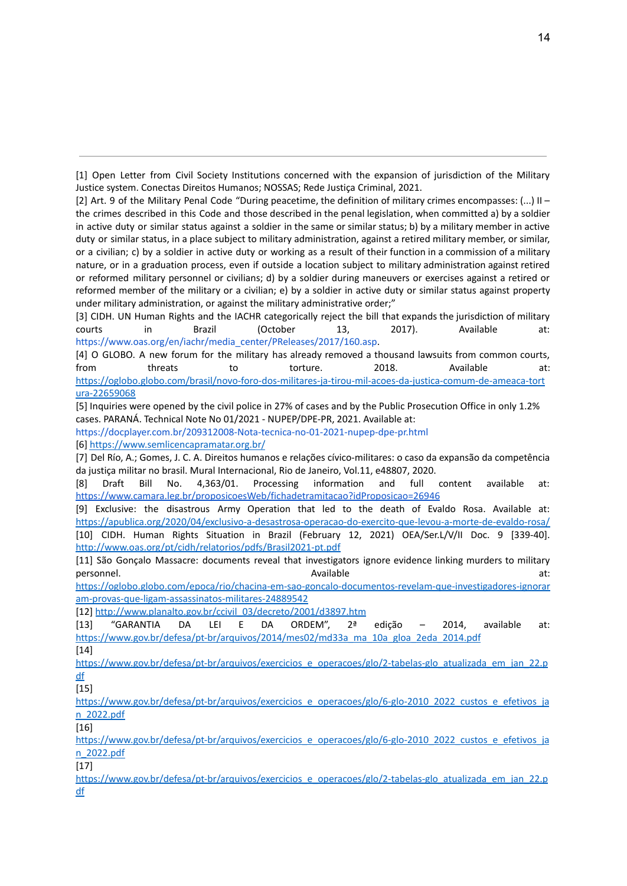[1] Open Letter from Civil Society Institutions concerned with the expansion of jurisdiction of the Military Justice system. Conectas Direitos Humanos; NOSSAS; Rede Justiça Criminal, 2021.

[2] Art. 9 of the Military Penal Code "During peacetime, the definition of military crimes encompasses: (...) II – the crimes described in this Code and those described in the penal legislation, when committed a) by a soldier in active duty or similar status against a soldier in the same or similar status; b) by a military member in active duty or similar status, in a place subject to military administration, against a retired military member, or similar, or a civilian; c) by a soldier in active duty or working as a result of their function in a commission of a military nature, or in a graduation process, even if outside a location subject to military administration against retired or reformed military personnel or civilians; d) by a soldier during maneuvers or exercises against a retired or reformed member of the military or a civilian; e) by a soldier in active duty or similar status against property under military administration, or against the military administrative order;"

[3] CIDH. UN Human Rights and the IACHR categorically reject the bill that expands the jurisdiction of military courts in Brazil (October 13, 2017). Available at: https://www.oas.org/en/iachr/media\_center/PReleases/2017/160.asp.

[4] O GLOBO. A new forum for the military has already removed a thousand lawsuits from common courts, from threats to torture. 2018. Available at: [https://oglobo.globo.com/brasil/novo-foro-dos-militares-ja-tirou-mil-acoes-da-justica-comum-de-ameaca-tort](https://oglobo.globo.com/brasil/novo-foro-dos-militares-ja-tirou-mil-acoes-da-justica-comum-de-ameaca-tortura-22659068) [ura-22659068](https://oglobo.globo.com/brasil/novo-foro-dos-militares-ja-tirou-mil-acoes-da-justica-comum-de-ameaca-tortura-22659068)

[5] Inquiries were opened by the civil police in 27% of cases and by the Public Prosecution Office in only 1.2% cases. PARANÁ. Technical Note No 01/2021 - NUPEP/DPE-PR, 2021. Available at:

https://docplayer.com.br/209312008-Nota-tecnica-no-01-2021-nupep-dpe-pr.html [6] <https://www.semlicencapramatar.org.br/>

[7] Del Río, A.; Gomes, J. C. A. Direitos humanos e relações cívico-militares: o caso da expansão da competência da justiça militar no brasil. Mural Internacional, Rio de Janeiro, Vol.11, e48807, 2020.

[8] Draft Bill No. 4,363/01. Processing information and full content available at: <https://www.camara.leg.br/proposicoesWeb/fichadetramitacao?idProposicao=26946>

[9] Exclusive: the disastrous Army Operation that led to the death of Evaldo Rosa. Available at: <https://apublica.org/2020/04/exclusivo-a-desastrosa-operacao-do-exercito-que-levou-a-morte-de-evaldo-rosa/> [10] CIDH. Human Rights Situation in Brazil (February 12, 2021) OEA/Ser.L/V/II Doc. 9 [339-40]. <http://www.oas.org/pt/cidh/relatorios/pdfs/Brasil2021-pt.pdf>

[11] São Gonçalo Massacre: documents reveal that investigators ignore evidence linking murders to military personnel. Available at:

[https://oglobo.globo.com/epoca/rio/chacina-em-sao-goncalo-documentos-revelam-que-investigadores-ignorar](https://oglobo.globo.com/epoca/rio/chacina-em-sao-goncalo-documentos-revelam-que-investigadores-ignoraram-provas-que-ligam-assassinatos-militares-24889542) [am-provas-que-ligam-assassinatos-militares-24889542](https://oglobo.globo.com/epoca/rio/chacina-em-sao-goncalo-documentos-revelam-que-investigadores-ignoraram-provas-que-ligam-assassinatos-militares-24889542)

[12] [http://www.planalto.gov.br/ccivil\\_03/decreto/2001/d3897.htm](http://www.planalto.gov.br/ccivil_03/decreto/2001/d3897.htm)

[13] "GARANTIA DA LEI E DA ORDEM", 2ª edição – 2014, available at: [https://www.gov.br/defesa/pt-br/arquivos/2014/mes02/md33a\\_ma\\_10a\\_gloa\\_2eda\\_2014.pdf](https://www.gov.br/defesa/pt-br/arquivos/2014/mes02/md33a_ma_10a_gloa_2eda_2014.pdf) [14]

[https://www.gov.br/defesa/pt-br/arquivos/exercicios\\_e\\_operacoes/glo/2-tabelas-glo\\_atualizada\\_em\\_jan\\_22.p](https://www.gov.br/defesa/pt-br/arquivos/exercicios_e_operacoes/glo/2-tabelas-glo_atualizada_em_jan_22.pdf) [df](https://www.gov.br/defesa/pt-br/arquivos/exercicios_e_operacoes/glo/2-tabelas-glo_atualizada_em_jan_22.pdf)

 $[15]$ 

[https://www.gov.br/defesa/pt-br/arquivos/exercicios\\_e\\_operacoes/glo/6-glo-2010\\_2022\\_custos\\_e\\_efetivos\\_ja](https://www.gov.br/defesa/pt-br/arquivos/exercicios_e_operacoes/glo/6-glo-2010_2022_custos_e_efetivos_jan_2022.pdf) [n\\_2022.pdf](https://www.gov.br/defesa/pt-br/arquivos/exercicios_e_operacoes/glo/6-glo-2010_2022_custos_e_efetivos_jan_2022.pdf)

[16]

[https://www.gov.br/defesa/pt-br/arquivos/exercicios\\_e\\_operacoes/glo/6-glo-2010\\_2022\\_custos\\_e\\_efetivos\\_ja](https://www.gov.br/defesa/pt-br/arquivos/exercicios_e_operacoes/glo/6-glo-2010_2022_custos_e_efetivos_jan_2022.pdf) [n\\_2022.pdf](https://www.gov.br/defesa/pt-br/arquivos/exercicios_e_operacoes/glo/6-glo-2010_2022_custos_e_efetivos_jan_2022.pdf)

[17]

[https://www.gov.br/defesa/pt-br/arquivos/exercicios\\_e\\_operacoes/glo/2-tabelas-glo\\_atualizada\\_em\\_jan\\_22.p](https://www.gov.br/defesa/pt-br/arquivos/exercicios_e_operacoes/glo/2-tabelas-glo_atualizada_em_jan_22.pdf) [df](https://www.gov.br/defesa/pt-br/arquivos/exercicios_e_operacoes/glo/2-tabelas-glo_atualizada_em_jan_22.pdf)